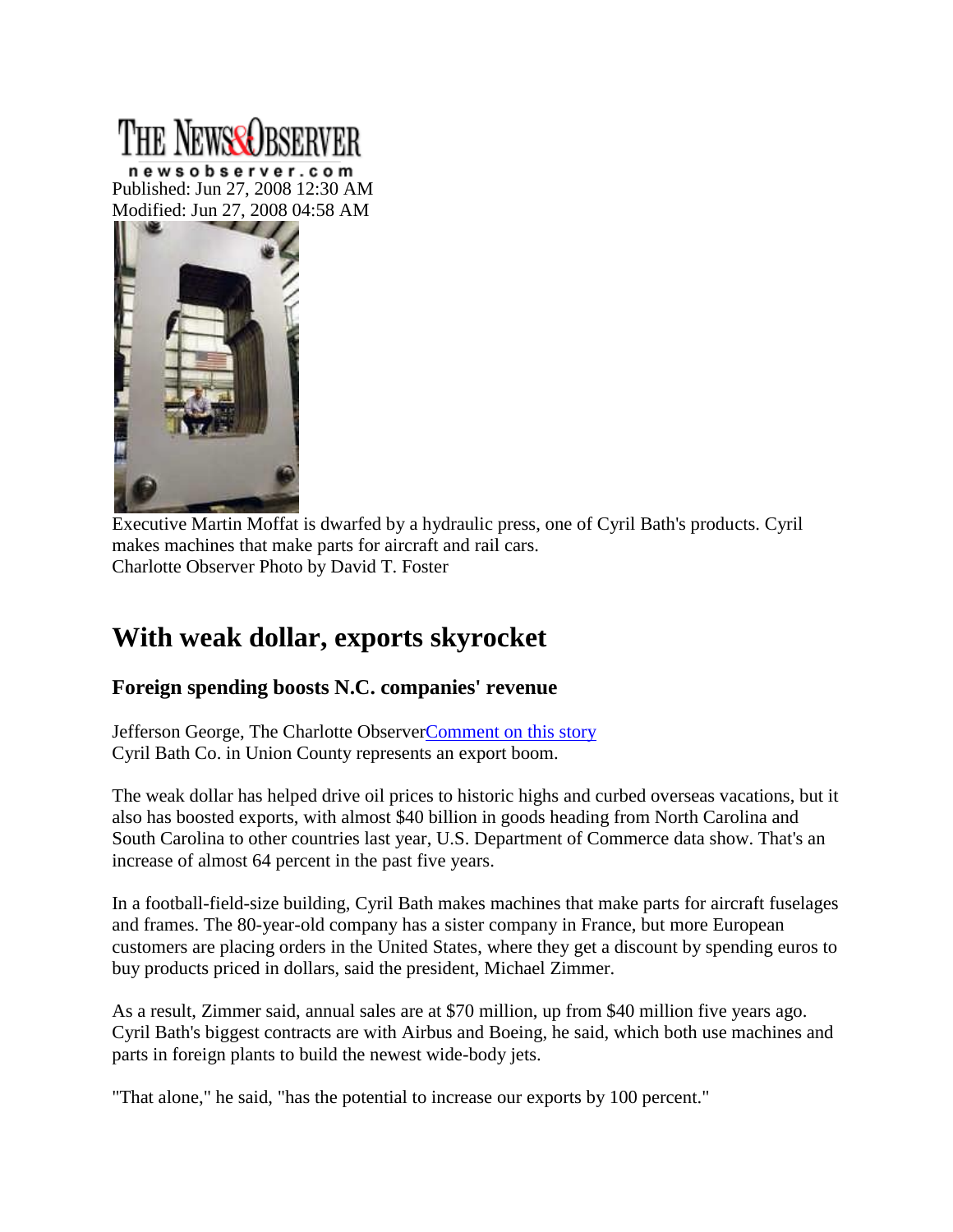# The NewseQrsi

newsobserver.com Published: Jun 27, 2008 12:30 AM Modified: Jun 27, 2008 04:58 AM



Executive Martin Moffat is dwarfed by a hydraulic press, one of Cyril Bath's products. Cyril makes machines that make parts for aircraft and rail cars. Charlotte Observer Photo by David T. Foster

# **With weak dollar, exports skyrocket**

## **Foreign spending boosts N.C. companies' revenue**

Jefferson George, The Charlotte Observe[rComment on this story](http://www.newsobserver.com/business/v-print/story/1122166.html#MI_Comments_Link) Cyril Bath Co. in Union County represents an export boom.

The weak dollar has helped drive oil prices to historic highs and curbed overseas vacations, but it also has boosted exports, with almost \$40 billion in goods heading from North Carolina and South Carolina to other countries last year, U.S. Department of Commerce data show. That's an increase of almost 64 percent in the past five years.

In a football-field-size building, Cyril Bath makes machines that make parts for aircraft fuselages and frames. The 80-year-old company has a sister company in France, but more European customers are placing orders in the United States, where they get a discount by spending euros to buy products priced in dollars, said the president, Michael Zimmer.

As a result, Zimmer said, annual sales are at \$70 million, up from \$40 million five years ago. Cyril Bath's biggest contracts are with Airbus and Boeing, he said, which both use machines and parts in foreign plants to build the newest wide-body jets.

"That alone," he said, "has the potential to increase our exports by 100 percent."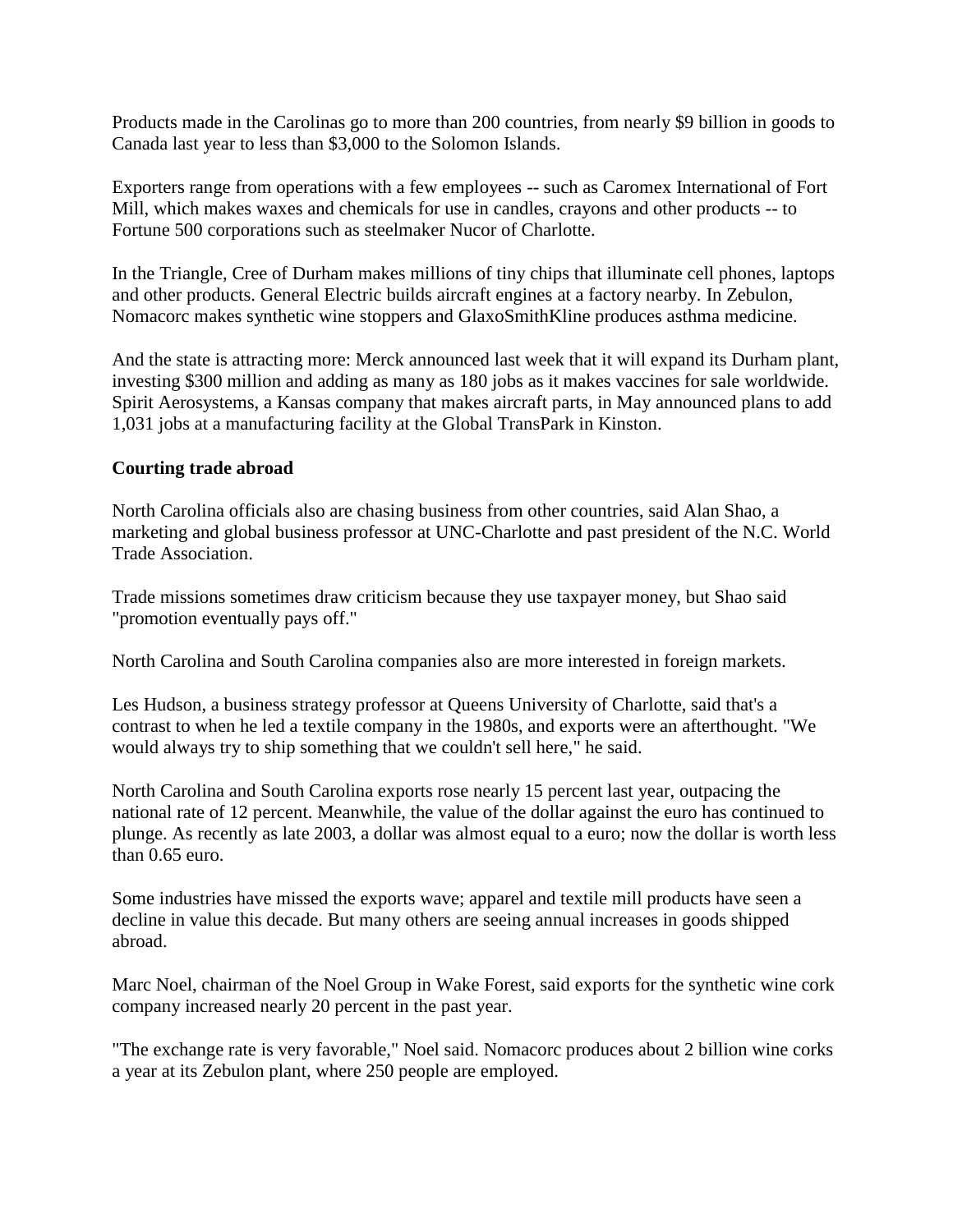Products made in the Carolinas go to more than 200 countries, from nearly \$9 billion in goods to Canada last year to less than \$3,000 to the Solomon Islands.

Exporters range from operations with a few employees -- such as Caromex International of Fort Mill, which makes waxes and chemicals for use in candles, crayons and other products -- to Fortune 500 corporations such as steelmaker Nucor of Charlotte.

In the Triangle, Cree of Durham makes millions of tiny chips that illuminate cell phones, laptops and other products. General Electric builds aircraft engines at a factory nearby. In Zebulon, Nomacorc makes synthetic wine stoppers and GlaxoSmithKline produces asthma medicine.

And the state is attracting more: Merck announced last week that it will expand its Durham plant, investing \$300 million and adding as many as 180 jobs as it makes vaccines for sale worldwide. Spirit Aerosystems, a Kansas company that makes aircraft parts, in May announced plans to add 1,031 jobs at a manufacturing facility at the Global TransPark in Kinston.

#### **Courting trade abroad**

North Carolina officials also are chasing business from other countries, said Alan Shao, a marketing and global business professor at UNC-Charlotte and past president of the N.C. World Trade Association.

Trade missions sometimes draw criticism because they use taxpayer money, but Shao said "promotion eventually pays off."

North Carolina and South Carolina companies also are more interested in foreign markets.

Les Hudson, a business strategy professor at Queens University of Charlotte, said that's a contrast to when he led a textile company in the 1980s, and exports were an afterthought. "We would always try to ship something that we couldn't sell here," he said.

North Carolina and South Carolina exports rose nearly 15 percent last year, outpacing the national rate of 12 percent. Meanwhile, the value of the dollar against the euro has continued to plunge. As recently as late 2003, a dollar was almost equal to a euro; now the dollar is worth less than 0.65 euro.

Some industries have missed the exports wave; apparel and textile mill products have seen a decline in value this decade. But many others are seeing annual increases in goods shipped abroad.

Marc Noel, chairman of the Noel Group in Wake Forest, said exports for the synthetic wine cork company increased nearly 20 percent in the past year.

"The exchange rate is very favorable," Noel said. Nomacorc produces about 2 billion wine corks a year at its Zebulon plant, where 250 people are employed.